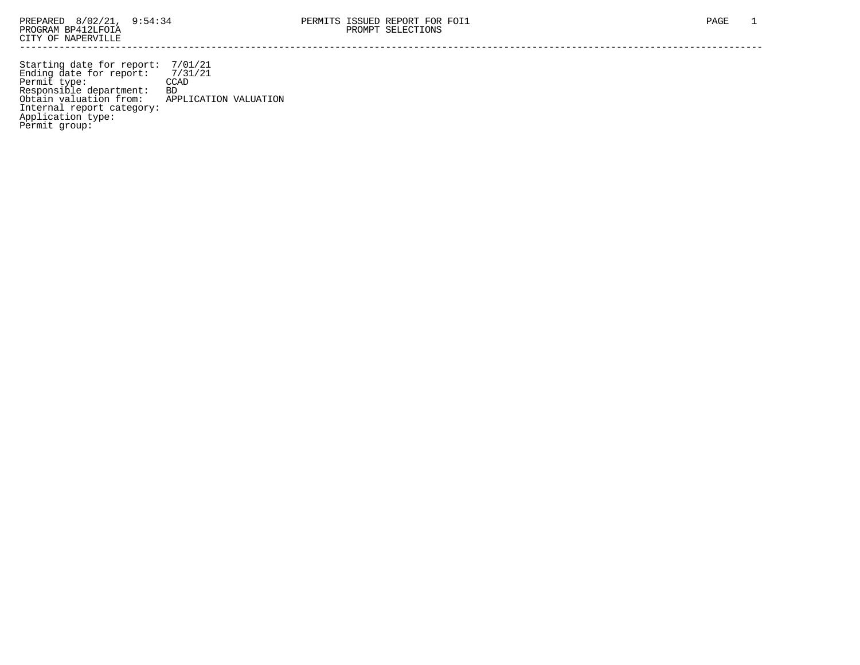Starting date for report: 7/01/21 Ending date for report: 7/31/21 Permit type: CCAD Responsible department: BD Obtain valuation from: APPLICATION VALUATION Internal report category: Application type: Permit group: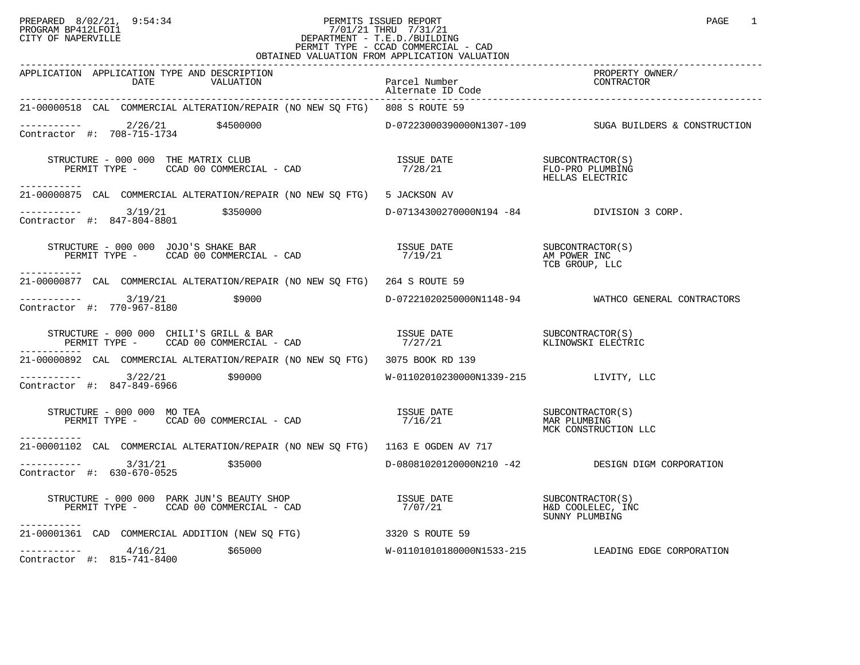## PREPARED 8/02/21, 9:54:34 PERMITS ISSUED REPORT<br>PROGRAM BP412LFOI1 PAGE 1 PROGRAM BP412LFOI1 7/01/21 THRU 7/31/21 CITY OF NAPERVILLE **Example 20** CITY OF NAPERVILLE PERMIT TYPE - CCAD COMMERCIAL - CAD OBTAINED VALUATION FROM APPLICATION VALUATION

| APPLICATION APPLICATION TYPE AND DESCRIPTION<br>DATE<br>VALUATION                                                                                                                                                                                                                                                                                 | Parcel Number<br>Alternate ID Code        | PROPERTY OWNER/<br>CONTRACTOR                           |
|---------------------------------------------------------------------------------------------------------------------------------------------------------------------------------------------------------------------------------------------------------------------------------------------------------------------------------------------------|-------------------------------------------|---------------------------------------------------------|
| 21-00000518 CAL COMMERCIAL ALTERATION/REPAIR (NO NEW SQ FTG) 808 S ROUTE 59                                                                                                                                                                                                                                                                       |                                           |                                                         |
| ----------- 2/26/21 \$4500000<br>Contractor #: 708-715-1734                                                                                                                                                                                                                                                                                       |                                           | D-07223000390000N1307-109 SUGA BUILDERS & CONSTRUCTION  |
| $\begin{array}{cccc} \texttt{STRUCTURE} & - & 000 & 000 & \texttt{THE} \texttt{MATRIX} & \texttt{CLUB} & & & & & \\ \texttt{PERMIT TYPE} & - & \texttt{CCAD} & 00 & \texttt{COMMERCIAL} & - & \texttt{CAD} & & & & \\ \texttt{PERMIT TYPE} & - & \texttt{CCAD} & 00 & \texttt{COMMERCIAL} & - & \texttt{CAD} & & & \\ \end{array}$<br>----------- |                                           |                                                         |
| 21-00000875 CAL COMMERCIAL ALTERATION/REPAIR (NO NEW SQ FTG) 5 JACKSON AV                                                                                                                                                                                                                                                                         |                                           |                                                         |
| $\begin{tabular}{lllll} - & - & - & - & - - & - & 3/19/21 & 5350000 \\ \texttt{Contractor} & \# & 847-804-8801 & 5350000 \\ \end{tabular}$                                                                                                                                                                                                        | D-07134300270000N194 -84 DIVISION 3 CORP. |                                                         |
| -----------                                                                                                                                                                                                                                                                                                                                       |                                           | TCB GROUP, LLC                                          |
| 21-00000877 CAL COMMERCIAL ALTERATION/REPAIR (NO NEW SQ FTG) 264 S ROUTE 59                                                                                                                                                                                                                                                                       |                                           |                                                         |
| $-------- 3/19/21$<br>\$9000<br>Contractor #: 770-967-8180                                                                                                                                                                                                                                                                                        |                                           | D-07221020250000N1148-94 WATHCO GENERAL CONTRACTORS     |
|                                                                                                                                                                                                                                                                                                                                                   |                                           |                                                         |
| 21-00000892 CAL COMMERCIAL ALTERATION/REPAIR (NO NEW SQ FTG) 3075 BOOK RD 139                                                                                                                                                                                                                                                                     |                                           |                                                         |
| ----------- 3/22/21 \$90000<br>Contractor #: 847-849-6966                                                                                                                                                                                                                                                                                         | W-01102010230000N1339-215 LIVITY, LLC     |                                                         |
| $\begin{array}{cccc}\texttt{STRUCTURE} & - & 000 & 000 & \texttt{MO} & \texttt{TEA} \\ \texttt{PERMIT TYPE} & - & \texttt{CCAD} & 00 & \texttt{COMMERCIAL} & - & \texttt{CAD} \\ \texttt{PERMIT TYPE} & - & \texttt{CCAD} & 00 & \texttt{COMMERCIAL} & - & \texttt{CAD} \\ \end{array}$<br>-----------                                            |                                           |                                                         |
| 21-00001102 CAL COMMERCIAL ALTERATION/REPAIR (NO NEW SQ FTG) 1163 E OGDEN AV 717                                                                                                                                                                                                                                                                  |                                           |                                                         |
| $--------$ 3/31/21 \$35000<br>Contractor #: 630-670-0525                                                                                                                                                                                                                                                                                          |                                           | D-08081020120000N210 -42 DESIGN DIGM CORPORATION        |
| -----------                                                                                                                                                                                                                                                                                                                                       |                                           | SUBCONTRACTOR(S)<br>H&D COOLELEC, INC<br>SUNNY PLUMBING |
| 21-00001361 CAD COMMERCIAL ADDITION (NEW SQ FTG) 3320 S ROUTE 59                                                                                                                                                                                                                                                                                  |                                           |                                                         |
| $---------$ 4/16/21 \$65000<br>Contractor #: $815-741-8400$                                                                                                                                                                                                                                                                                       |                                           | W-01101010180000N1533-215 LEADING EDGE CORPORATION      |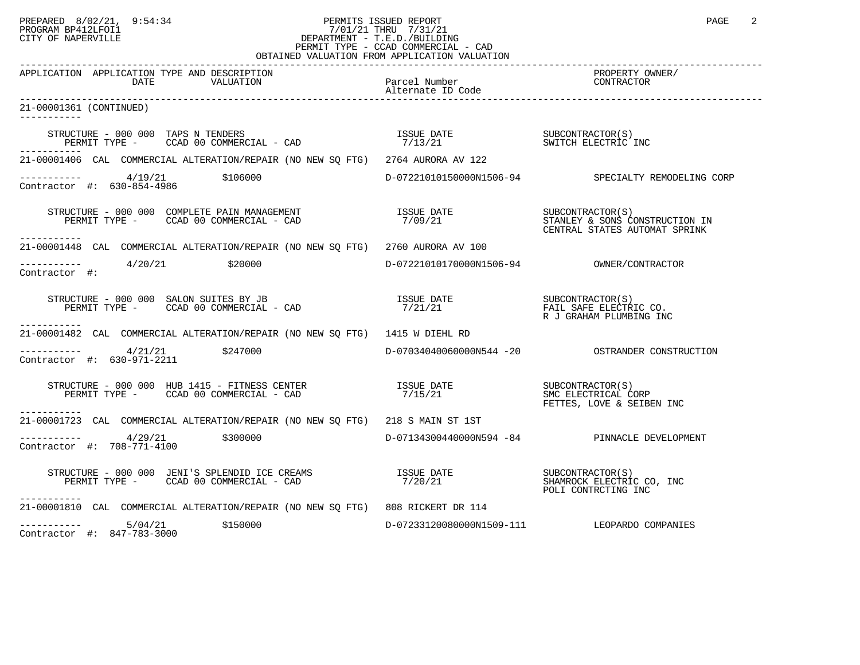## PREPARED 8/02/21, 9:54:34 PERMITS ISSUED REPORT<br>PROGRAM BP412LFOI1 PAGE 2 PROGRAM BP412LFOI1 7/01/21 THRU 7/31/21 CITY OF NAPERVILLE **Example 20** CITY OF NAPERVILLE PERMIT TYPE - CCAD COMMERCIAL - CAD OBTAINED VALUATION FROM APPLICATION VALUATION

| VALUATION IN                                                                                                                                                                                                                                                                                                                                      |                       |                                                                      |
|---------------------------------------------------------------------------------------------------------------------------------------------------------------------------------------------------------------------------------------------------------------------------------------------------------------------------------------------------|-----------------------|----------------------------------------------------------------------|
| APPLICATION APPLICATION TYPE AND DESCRIPTION<br>DATE<br>VALUATION                                                                                                                                                                                                                                                                                 | Parcel Number         | PROPERTY OWNER/<br>CONTRACTOR                                        |
| 21-00001361 (CONTINUED)                                                                                                                                                                                                                                                                                                                           |                       |                                                                      |
|                                                                                                                                                                                                                                                                                                                                                   |                       |                                                                      |
| 21-00001406 CAL COMMERCIAL ALTERATION/REPAIR (NO NEW SO FTG) 2764 AURORA AV 122                                                                                                                                                                                                                                                                   |                       |                                                                      |
| $---------$ 4/19/21 \$106000<br>Contractor #: 630-854-4986                                                                                                                                                                                                                                                                                        |                       | D-07221010150000N1506-94 SPECIALTY REMODELING CORP                   |
| STRUCTURE - 000 000 COMPLETE PAIN MANAGEMENT                           ISSUE DATE                   SUBCONTRACTOR(S)<br>PERMIT TYPE -      CCAD 00 COMMERCIAL - CAD                        7/09/21                                                                                                                                                |                       |                                                                      |
| 21-00001448 CAL COMMERCIAL ALTERATION/REPAIR (NO NEW SQ FTG) 2760 AURORA AV 100                                                                                                                                                                                                                                                                   |                       |                                                                      |
| ----------- 4/20/21 \$20000<br>Contractor #:                                                                                                                                                                                                                                                                                                      |                       |                                                                      |
|                                                                                                                                                                                                                                                                                                                                                   |                       | FAIL SAFE ELECTRIC CO.<br>R J GRAHAM PLUMBING INC                    |
| -----------<br>21-00001482 CAL COMMERCIAL ALTERATION/REPAIR (NO NEW SQ FTG) 1415 W DIEHL RD                                                                                                                                                                                                                                                       |                       |                                                                      |
| $-$ --------- $4/21/21$ \$247000<br>Contractor #: 630-971-2211                                                                                                                                                                                                                                                                                    |                       |                                                                      |
| STRUCTURE - 000 000 HUB 1415 - FITNESS CENTER<br>PERMIT TYPE - CCAD 00 COMMERCIAL - CAD                                                                                                                                                                                                                                                           | ISSUE DATE<br>7/15/21 | SUBCONTRACTOR(S)<br>SMC ELECTRICAL CORP<br>FETTES, LOVE & SEIBEN INC |
| 21-00001723 CAL COMMERCIAL ALTERATION/REPAIR (NO NEW SO FTG) 218 S MAIN ST 1ST                                                                                                                                                                                                                                                                    |                       |                                                                      |
| $\frac{4}{29/21}$ \$300000<br>Contractor #: 708-771-4100                                                                                                                                                                                                                                                                                          |                       | D-07134300440000N594 -84 PINNACLE DEVELOPMENT                        |
| $\begin{array}{lllllll} \texttt{STRUCTURE} & - & 000 & 000 & \texttt{JENI'S SPLENDID ICE CREAMS} & & & & & & & \\ \texttt{PERMIT TYPE} & - & \texttt{CCAD} & 00 & \texttt{COMMERCIAL} & - & \texttt{CAD} & & & & \\ \texttt{PERMIT TYPE} & - & \texttt{CCAD} & 00 & \texttt{COMMERCIAL} & - & \texttt{CAD} & & & & \\ \end{array}$<br>----------- |                       |                                                                      |
| 21-00001810 CAL COMMERCIAL ALTERATION/REPAIR (NO NEW SQ FTG) 808 RICKERT DR 114                                                                                                                                                                                                                                                                   |                       |                                                                      |
| $--------- 5/04/21$<br>\$150000<br>Contractor #: 847-783-3000                                                                                                                                                                                                                                                                                     |                       | D-07233120080000N1509-111 LEOPARDO COMPANIES                         |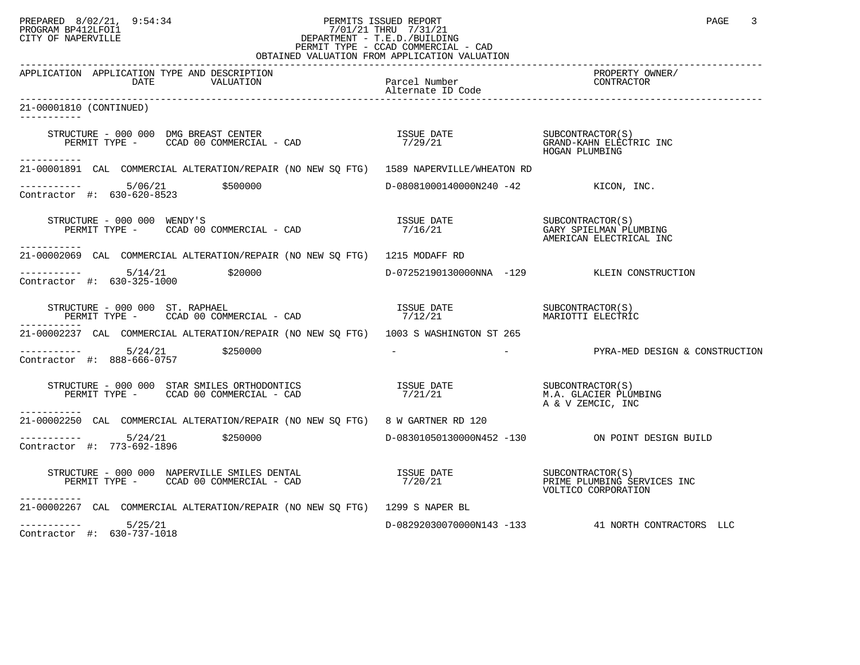## PREPARED 8/02/21, 9:54:34 PERMITS ISSUED REPORT<br>PROGRAM BP412LFOI1 PAGE 3 PROGRAM BP412LFOI1 7/01/21 THRU 7/31/21 CITY OF NAPERVILLE **Example 20** CITY OF NAPERVILLE PERMIT TYPE - CCAD COMMERCIAL - CAD OBTAINED VALUATION FROM APPLICATION VALUATION

| UPIIIIP VIIUIIIOIV IKUR                                                                                                                                                                                                                                                                                                                                                                                                                         |                                      |                                                    |
|-------------------------------------------------------------------------------------------------------------------------------------------------------------------------------------------------------------------------------------------------------------------------------------------------------------------------------------------------------------------------------------------------------------------------------------------------|--------------------------------------|----------------------------------------------------|
| APPLICATION APPLICATION TYPE AND DESCRIPTION<br>VALUATION<br>DATE                                                                                                                                                                                                                                                                                                                                                                               | Parcel Number                        | PROPERTY OWNER/<br>CONTRACTOR                      |
| 21-00001810 (CONTINUED)<br>------------                                                                                                                                                                                                                                                                                                                                                                                                         |                                      |                                                    |
| $\begin{array}{cccc} \texttt{STRUCTURE} & - & 000 & 000 & \texttt{DMG} & \texttt{BREAST} & \texttt{CENTER} \\ \texttt{PERMIT} & \texttt{TYPE} & - & \texttt{CCAD} & 00 & \texttt{COMMERCIAL} & - & \texttt{CAD} \\ \end{array} \hspace{2.5cm} \begin{array}{cccc} \texttt{ISSUE} & \texttt{DATE} & & \texttt{SUECONTRACTOR(S)} \\ \texttt{7/29/21} & & & \texttt{GRAND-KAHD} & \texttt{ELECTRIC} & \texttt{INC} \\ \end{array}$<br>------------ |                                      |                                                    |
| 21-00001891 CAL COMMERCIAL ALTERATION/REPAIR (NO NEW SO FTG) 1589 NAPERVILLE/WHEATON RD                                                                                                                                                                                                                                                                                                                                                         |                                      |                                                    |
| $-$ --------- 5/06/21 \$500000<br>Contractor #: 630-620-8523                                                                                                                                                                                                                                                                                                                                                                                    | D-08081000140000N240 -42 KICON, INC. |                                                    |
| STRUCTURE - 000 000 WENDY'S<br>TRUCTURE - 000 000 WENDY'S<br>PERMIT TYPE -     CCAD 00 COMMERCIAL - CAD<br>------------                                                                                                                                                                                                                                                                                                                         |                                      | AMERICAN ELECTRICAL INC                            |
| 21-00002069 CAL COMMERCIAL ALTERATION/REPAIR (NO NEW SO FTG) 1215 MODAFF RD                                                                                                                                                                                                                                                                                                                                                                     |                                      |                                                    |
| $---------$ 5/14/21 \$20000<br>Contractor #: 630-325-1000                                                                                                                                                                                                                                                                                                                                                                                       |                                      | D-07252190130000NNA -129 KLEIN CONSTRUCTION        |
|                                                                                                                                                                                                                                                                                                                                                                                                                                                 |                                      |                                                    |
| 21-00002237 CAL COMMERCIAL ALTERATION/REPAIR (NO NEW SO FTG) 1003 S WASHINGTON ST 265                                                                                                                                                                                                                                                                                                                                                           |                                      |                                                    |
| $---------$ 5/24/21 \$250000<br>Contractor #: 888-666-0757                                                                                                                                                                                                                                                                                                                                                                                      |                                      | - PYRA-MED DESIGN & CONSTRUCTION                   |
| $\begin{array}{cccccc} \texttt{STRUCTURE} & - & 000 & 000 & \texttt{STAR} & \texttt{SNRB} & \texttt{CNRB} & \texttt{CNRB} & \texttt{CNRB} & \texttt{CNRB} & \texttt{CNRB} & \texttt{CNRB} & \texttt{CNRB} & \texttt{CNRB} & \texttt{CNRB} & \texttt{CNRB} & \texttt{CNRB} & \texttt{CNRB} & \texttt{CNRB} & \texttt{CNRB} & \texttt{CNRB} & \texttt{CNRB} & \texttt{CNRB} & \texttt{CNRB} & \texttt{CNRB} & \text$<br>-----------               |                                      | A & V ZEMCIC, INC                                  |
| 21-00002250 CAL COMMERCIAL ALTERATION/REPAIR (NO NEW SQ FTG) 8 W GARTNER RD 120                                                                                                                                                                                                                                                                                                                                                                 |                                      |                                                    |
| $\begin{array}{cccc}\n & - & - & - & - & - - \\ \text{Contractor} & + & 773-692-1896 & & & 250000\n\end{array}$                                                                                                                                                                                                                                                                                                                                 |                                      | D-08301050130000N452 -130 ON POINT DESIGN BUILD    |
| STRUCTURE - 000 000 NAPERVILLE SMILES DENTAL<br>$\begin{array}{ccc} \texttt{ISSUE} & \texttt{DATE} & \texttt{SUBCONTRACTOR(S)} \\ \texttt{PERMIT TYPE} & - & \texttt{CCAD 00 COMMERCIAL} & - \texttt{CAD} & 7/20/21 & & \texttt{PRIME PLUMBING SERVICES INC} \\ \end{array}$<br>-----------                                                                                                                                                     |                                      | VOLTICO CORPORATION                                |
| 21-00002267 CAL COMMERCIAL ALTERATION/REPAIR (NO NEW SO FTG) 1299 S NAPER BL                                                                                                                                                                                                                                                                                                                                                                    |                                      |                                                    |
| $--------- 5/25/21$<br>Contractor #: 630-737-1018                                                                                                                                                                                                                                                                                                                                                                                               |                                      | D-08292030070000N143 -133 41 NORTH CONTRACTORS LLC |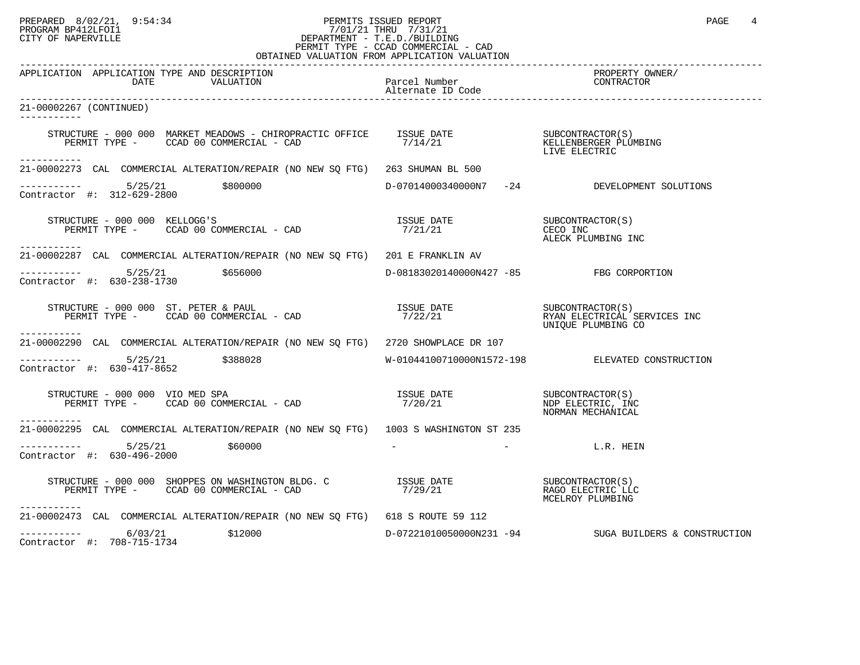## PREPARED 8/02/21, 9:54:34 PERMITS ISSUED REPORT<br>PROGRAM BP412LFOI1 PAGE 4 PROGRAM BP412LFOI1 7/01/21 THRU 7/31/21 CITY OF NAPERVILLE **Example 20** CITY OF NAPERVILLE PERMIT TYPE - CCAD COMMERCIAL - CAD OBTAINED VALUATION FROM APPLICATION VALUATION

| CDIMITRID VILOMITOR INCRI                                                                                                                                                                                                                                                                                                          |                                         |                                                            |
|------------------------------------------------------------------------------------------------------------------------------------------------------------------------------------------------------------------------------------------------------------------------------------------------------------------------------------|-----------------------------------------|------------------------------------------------------------|
| APPLICATION APPLICATION TYPE AND DESCRIPTION<br>DATE<br>VALUATION                                                                                                                                                                                                                                                                  | Parcel Number<br>Alternate ID Code      | PROPERTY OWNER/<br>CONTRACTOR                              |
| 21-00002267 (CONTINUED)                                                                                                                                                                                                                                                                                                            |                                         |                                                            |
| ------------                                                                                                                                                                                                                                                                                                                       |                                         |                                                            |
| $\begin{tabular}{lllllllll} \texttt{STRUCTURE} & 000 000} & \texttt{MARKET MEADONS} & \texttt{CHIROPRACTIC OFFICE} & \texttt{ISSUE DATE} & & & & & & & & & & \\ \texttt{PERMIT TYPE} & - & \texttt{CCAD 00 COMMERCIAL} & - \texttt{CAD} & & & & & & & \\ \texttt{PERMIT TYPE} & - & & & & & & & & \\ \end{tabular}$<br>----------- |                                         |                                                            |
| 21-00002273 CAL COMMERCIAL ALTERATION/REPAIR (NO NEW SQ FTG) 263 SHUMAN BL 500                                                                                                                                                                                                                                                     |                                         |                                                            |
| $---------$ 5/25/21 \$800000<br>Contractor #: 312-629-2800                                                                                                                                                                                                                                                                         |                                         | D-07014000340000N7 -24 DEVELOPMENT SOLUTIONS               |
| $\begin{array}{cccc}\n \text{STRUCTURE} & - & 000 & 000 & \text{KELLOGG'S} \\  \text{PERMIT TYPE} & - & \text{CCAD} & 00 & \text{COMMERCIAL} & - & \text{CAD} & \\  \text{PERMIT TYPE} & - & \text{CCAD} & 00 & \text{COMMERCIAL} & - & \text{CAD} & \\  \end{array}$                                                              |                                         | ALECK PLUMBING INC                                         |
| 21-00002287 CAL COMMERCIAL ALTERATION/REPAIR (NO NEW SQ FTG) 201 E FRANKLIN AV                                                                                                                                                                                                                                                     |                                         |                                                            |
| $--------$ 5/25/21 \$656000<br>Contractor #: 630-238-1730                                                                                                                                                                                                                                                                          | D-08183020140000N427 -85 FBG CORPORTION |                                                            |
| $\begin{array}{cccc} \texttt{STRUCTURE} & - & 000 & 000 & \texttt{ST. PETER & \texttt{PAUL} }\\ \texttt{PERMIT TYPE} & - & \texttt{CCAD} & 00 & \texttt{COMMERCIAL} & - & \texttt{CAD} & \\ \texttt{PERMIT TYPE} & - & \texttt{CCAD} & 00 & \texttt{COMMERCIAL} & - & \texttt{CAD} & \\ \end{array}$                               |                                         |                                                            |
| -----------<br>21-00002290 CAL COMMERCIAL ALTERATION/REPAIR (NO NEW SO FTG) 2720 SHOWPLACE DR 107                                                                                                                                                                                                                                  |                                         |                                                            |
| $-$ --------- $5/25/21$ \$388028<br>Contractor #: 630-417-8652                                                                                                                                                                                                                                                                     |                                         | W-01044100710000N1572-198 ELEVATED CONSTRUCTION            |
| TRUCTURE - 000 000 VIO MED SPA<br>PERMIT TYPE -      CCAD 00 COMMERCIAL - CAD<br>STRUCTURE - 000 000 VIO MED SPA                                                                                                                                                                                                                   | ISSUE DATE<br>7/20/21                   | SUBCONTRACTOR(S)<br>NDP ELECTRIC, INC<br>NORMAN MECHANICAL |
| ------------<br>21-00002295 CAL COMMERCIAL ALTERATION/REPAIR (NO NEW SO FTG) 1003 S WASHINGTON ST 235                                                                                                                                                                                                                              |                                         |                                                            |
| $---------$ 5/25/21 \$60000<br>Contractor #: 630-496-2000                                                                                                                                                                                                                                                                          | $\sim$ 100 $\mu$                        | L.R. HEIN                                                  |
| STRUCTURE - 000 000 SHOPPES ON WASHINGTON BLDG. C<br>PERMIT TYPE - CCAD 00 COMMERCIAL - CAD 00 COMMERCIAL - CAD 00 COMMERCIAL - CAD 00 COMMERCIAL - CAD 00 COMMERCIAL - CAD<br>-----------                                                                                                                                         |                                         | MCELROY PLUMBING                                           |
| 21-00002473 CAL COMMERCIAL ALTERATION/REPAIR (NO NEW SO FTG) 618 S ROUTE 59 112                                                                                                                                                                                                                                                    |                                         |                                                            |
| $--------$ 6/03/21<br>\$12000<br>Contractor #: 708-715-1734                                                                                                                                                                                                                                                                        |                                         | $D-07221010050000N231 -94$ SUGA BUILDERS & CONSTRUCTION    |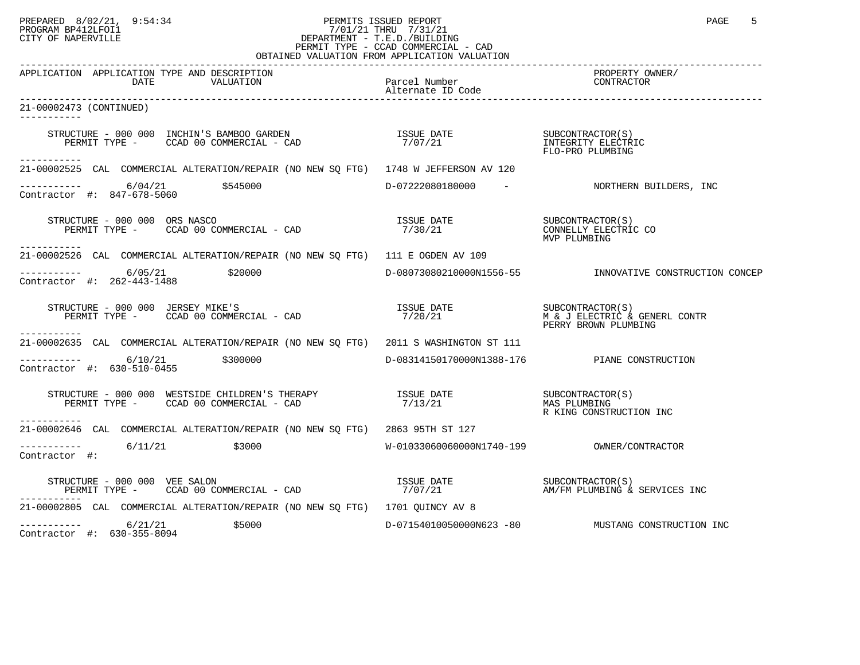## PREPARED 8/02/21, 9:54:34 PERMITS ISSUED REPORT<br>PROGRAM BP412LFOI1 PAGE 5 PROGRAM BP412LFOI1 7/01/21 THRU 7/31/21 CITY OF NAPERVILLE **Example 20** CITY OF NAPERVILLE PERMIT TYPE - CCAD COMMERCIAL - CAD OBTAINED VALUATION FROM APPLICATION VALUATION

| APPLICATION APPLICATION TYPE AND DESCRIPTION<br>DATE<br>VALUATION                                                                                                                                                                                             | Parcel Number | PROPERTY OWNER/<br>CONTRACTOR                                                                                    |
|---------------------------------------------------------------------------------------------------------------------------------------------------------------------------------------------------------------------------------------------------------------|---------------|------------------------------------------------------------------------------------------------------------------|
| 21-00002473 (CONTINUED)<br>-----------                                                                                                                                                                                                                        |               |                                                                                                                  |
| STRUCTURE - 000 000 INCHIN'S BAMBOO GARDEN                            ISSUE DATE                       SUBCONTRACTOR(S)<br>PERMIT TYPE -      CCAD 00 COMMERCIAL - CAD                               7/07/21                                                  |               |                                                                                                                  |
| ------------<br>21-00002525 CAL COMMERCIAL ALTERATION/REPAIR (NO NEW SO FTG) 1748 W JEFFERSON AV 120                                                                                                                                                          |               |                                                                                                                  |
| ---------- 6/04/21 \$545000<br>Contractor #: 847-678-5060                                                                                                                                                                                                     |               | D-07222080180000 - NORTHERN BUILDERS, INC                                                                        |
| STRUCTURE - 000 000 ORS NASCO<br>RUCTURE - 000 000 ORS NASCO<br>PERMIT TYPE -     CCAD 00 COMMERCIAL - CAD<br>------------                                                                                                                                    |               | MVP PLUMBING                                                                                                     |
| 21-00002526 CAL COMMERCIAL ALTERATION/REPAIR (NO NEW SQ FTG) 111 E OGDEN AV 109                                                                                                                                                                               |               |                                                                                                                  |
| $---------$ 6/05/21 \$20000<br>Contractor #: 262-443-1488                                                                                                                                                                                                     |               | D-08073080210000N1556-55   INNOVATIVE CONSTRUCTION CONCEP                                                        |
| STRUCTURE - 000 000 JERSEY MIKE'S<br>PERMIT TYPE - CCAD 00 COMMERCIAL - CAD                                                                                                                                                                                   |               | ISSUE DATE<br>7/20/21 M & J ELECTRIC & GENERL CONTR<br>PERSY PERSY PROPER IN THEFT CONTR<br>PERRY BROWN PLUMBING |
| 21-00002635 CAL COMMERCIAL ALTERATION/REPAIR (NO NEW SO FTG) 2011 S WASHINGTON ST 111                                                                                                                                                                         |               |                                                                                                                  |
| $-$ ---------- 6/10/21 \$300000<br>Contractor #: 630-510-0455                                                                                                                                                                                                 |               | D-08314150170000N1388-176 PIANE CONSTRUCTION                                                                     |
| $\begin{array}{cccccc} \texttt{STRUCTURE} & - & 000 & 000 & \texttt{WESTSIDE CHILDREN'S} & \texttt{THERAPY} & & & & & & & \\ \texttt{PERMIT TYPE} & - & \texttt{CCAD} & 00 & \texttt{COMMERCIAL} & - & \texttt{CAD} & & & & & & \\ \end{array}$<br>---------- |               | R KING CONSTRUCTION INC                                                                                          |
| 21-00002646 CAL COMMERCIAL ALTERATION/REPAIR (NO NEW SQ FTG) 2863 95TH ST 127                                                                                                                                                                                 |               |                                                                                                                  |
| $---------$ 6/11/21 \$3000<br>Contractor #:                                                                                                                                                                                                                   |               |                                                                                                                  |
| RUCTURE – 000 000 VEE SALON<br>PERMIT TYPE – CCAD 00 COMMERCIAL – CAD                          7/07/21                    AM/FM PLUMBING & SERVICES INC<br>STRUCTURE - 000 000 VEE SALON                                                                      |               |                                                                                                                  |
| 21-00002805 CAL COMMERCIAL ALTERATION/REPAIR (NO NEW SQ FTG) 1701 QUINCY AV 8                                                                                                                                                                                 |               |                                                                                                                  |
| $--------$ 6/21/21<br>\$5000<br>Contractor #: 630-355-8094                                                                                                                                                                                                    |               |                                                                                                                  |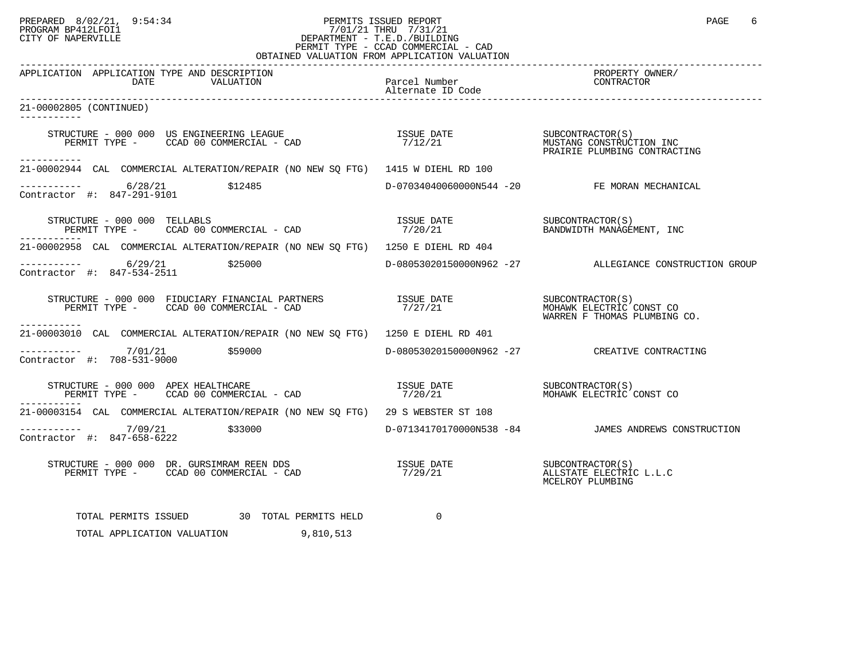# PREPARED 8/02/21, 9:54:34 PERMITS ISSUED REPORT<br>PROGRAM BP412LFOI1 PAGE 6<br>CITY OF NAPERVILLE PROGRAM BP412LFOI1 7/01/21 THRU 7/31/21 CITY OF NAPERVILLE **Example 20** CITY OF NAPERVILLE PERMIT TYPE - CCAD COMMERCIAL - CAD

| OBTAINED VALUATION FROM APPLICATION VALUATION                                                                                                                                                                                                                                                                                                                                    |                                    |                                                        |
|----------------------------------------------------------------------------------------------------------------------------------------------------------------------------------------------------------------------------------------------------------------------------------------------------------------------------------------------------------------------------------|------------------------------------|--------------------------------------------------------|
| APPLICATION APPLICATION TYPE AND DESCRIPTION<br>DATE<br>VALUATION                                                                                                                                                                                                                                                                                                                | Parcel Number<br>Alternate ID Code | PROPERTY OWNER/<br>CONTRACTOR                          |
| 21-00002805 (CONTINUED)<br>-----------                                                                                                                                                                                                                                                                                                                                           |                                    |                                                        |
| STRUCTURE - 000 000 US ENGINEERING LEAGUE                         ISSUE DATE                  SUBCONTRACTOR(S)<br>PERMIT TYPE -      CCAD 00 COMMERCIAL - CAD                           7/12/21<br>PRAIRIE PLUMBING CONTRACTING<br>-----------                                                                                                                                   |                                    |                                                        |
| 21-00002944 CAL COMMERCIAL ALTERATION/REPAIR (NO NEW SO FTG) 1415 W DIEHL RD 100                                                                                                                                                                                                                                                                                                 |                                    |                                                        |
| $--------$ 6/28/21 \$12485<br>Contractor #: 847-291-9101                                                                                                                                                                                                                                                                                                                         |                                    | D-07034040060000N544 -20 FE MORAN MECHANICAL           |
| STRUCTURE - 000 000 TELLABLS<br>RUCTURE – 000 000 TELLABLS<br>PERMIT TYPE – CCAD 00 COMMERCIAL – CAD                          7/20/21                   BANDWIDTH MANAGEMENT, INC<br>------------                                                                                                                                                                                |                                    |                                                        |
| 21-00002958 CAL COMMERCIAL ALTERATION/REPAIR (NO NEW SO FTG) 1250 E DIEHL RD 404                                                                                                                                                                                                                                                                                                 |                                    |                                                        |
| $--------- 6/29/21$<br>\$25000<br>Contractor #: 847-534-2511                                                                                                                                                                                                                                                                                                                     |                                    | D-08053020150000N962 -27 ALLEGIANCE CONSTRUCTION GROUP |
| STRUCTURE - 000 000 FIDUCIARY FINANCIAL PARTNERS TSSUE DATE SUBCONTRACTOR(S)<br>PERMIT TYPE - CCAD 00 COMMERCIAL - CAD 7/27/21 MOHAWK ELECTRIC CONST CO<br>----------                                                                                                                                                                                                            |                                    |                                                        |
| 21-00003010 CAL COMMERCIAL ALTERATION/REPAIR (NO NEW SQ FTG) 1250 E DIEHL RD 401                                                                                                                                                                                                                                                                                                 |                                    |                                                        |
| --------- 7/01/21 \$59000<br>Contractor #: 708-531-9000                                                                                                                                                                                                                                                                                                                          |                                    | D-08053020150000N962 -27 CREATIVE CONTRACTING          |
| $\begin{array}{cccccc} \texttt{STRUCTURE} & - & 000 & 000 & \texttt{APEX HEALTHCARE} & & & & & \\ \texttt{PERMIT TYPE} & - & \texttt{CCAD} & 00 & \texttt{COMMERCIAL} & - & \texttt{CAD} & & & & \\ \end{array} \qquad \begin{array}{cccccc} \texttt{TSSUE} & \texttt{DATE} & & & & \texttt{SUBCONTRACTOR(S)}\\ & 7/20/21 & & & & \texttt{MOHAMK ELECTRIC CONST CO} \end{array}$ |                                    |                                                        |
| 21-00003154 CAL COMMERCIAL ALTERATION/REPAIR (NO NEW SO FTG) 29 S WEBSTER ST 108                                                                                                                                                                                                                                                                                                 |                                    |                                                        |
| ---------- 7/09/21 \$33000<br>Contractor #: 847-658-6222                                                                                                                                                                                                                                                                                                                         |                                    | D-07134170170000N538 -84 JAMES ANDREWS CONSTRUCTION    |
|                                                                                                                                                                                                                                                                                                                                                                                  |                                    | MCELROY PLUMBING                                       |
| TOTAL PERMITS ISSUED 30 TOTAL PERMITS HELD<br>TOTAL APPLICATION VALUATION 9,810,513                                                                                                                                                                                                                                                                                              | $\Omega$                           |                                                        |